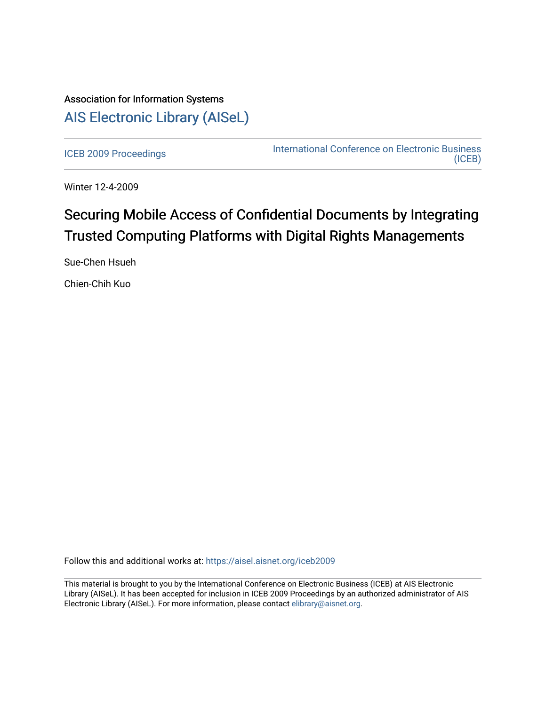# Association for Information Systems [AIS Electronic Library \(AISeL\)](https://aisel.aisnet.org/)

[ICEB 2009 Proceedings](https://aisel.aisnet.org/iceb2009) **International Conference on Electronic Business** [\(ICEB\)](https://aisel.aisnet.org/iceb) 

Winter 12-4-2009

# Securing Mobile Access of Confidential Documents by Integrating Trusted Computing Platforms with Digital Rights Managements

Sue-Chen Hsueh

Chien-Chih Kuo

Follow this and additional works at: [https://aisel.aisnet.org/iceb2009](https://aisel.aisnet.org/iceb2009?utm_source=aisel.aisnet.org%2Ficeb2009%2F118&utm_medium=PDF&utm_campaign=PDFCoverPages)

This material is brought to you by the International Conference on Electronic Business (ICEB) at AIS Electronic Library (AISeL). It has been accepted for inclusion in ICEB 2009 Proceedings by an authorized administrator of AIS Electronic Library (AISeL). For more information, please contact [elibrary@aisnet.org.](mailto:elibrary@aisnet.org%3E)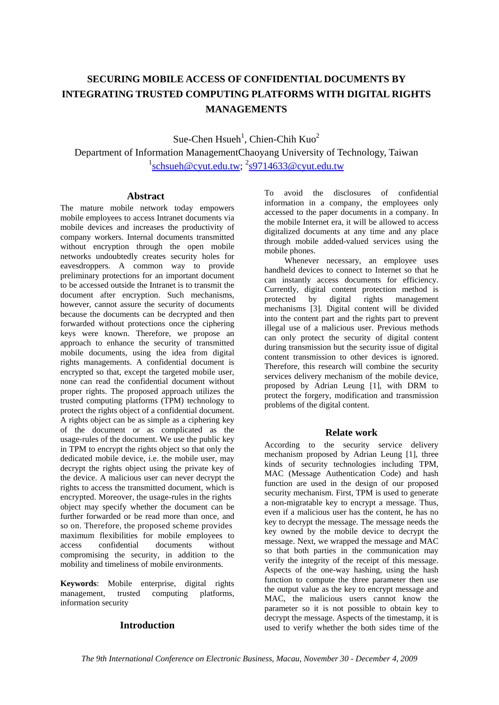# **SECURING MOBILE ACCESS OF CONFIDENTIAL DOCUMENTS BY INTEGRATING TRUSTED COMPUTING PLATFORMS WITH DIGITAL RIGHTS MANAGEMENTS**

Sue-Chen  $H<sub>3</sub>$ , Chien-Chih Kuo<sup>2</sup> Department of Information ManagementChaoyang University of Technology, Taiwan <sup>1</sup>schsueh@cyut.edu.tw; <sup>2</sup>s9714633@cyut.edu.tw

### **Abstract**

The mature mobile network today empowers mobile employees to access Intranet documents via mobile devices and increases the productivity of company workers. Internal documents transmitted without encryption through the open mobile networks undoubtedly creates security holes for eavesdroppers. A common way to provide preliminary protections for an important document to be accessed outside the Intranet is to transmit the document after encryption. Such mechanisms, however, cannot assure the security of documents because the documents can be decrypted and then forwarded without protections once the ciphering keys were known. Therefore, we propose an approach to enhance the security of transmitted mobile documents, using the idea from digital rights managements. A confidential document is encrypted so that, except the targeted mobile user, none can read the confidential document without proper rights. The proposed approach utilizes the trusted computing platforms (TPM) technology to protect the rights object of a confidential document. A rights object can be as simple as a ciphering key of the document or as complicated as the usage-rules of the document. We use the public key in TPM to encrypt the rights object so that only the dedicated mobile device, i.e. the mobile user, may decrypt the rights object using the private key of the device. A malicious user can never decrypt the rights to access the transmitted document, which is encrypted. Moreover, the usage-rules in the rights object may specify whether the document can be further forwarded or be read more than once, and so on. Therefore, the proposed scheme provides maximum flexibilities for mobile employees to access confidential documents without compromising the security, in addition to the mobility and timeliness of mobile environments.

**Keywords**: Mobile enterprise, digital rights management, trusted computing platforms, information security

# **Introduction**

To avoid the disclosures of confidential information in a company, the employees only accessed to the paper documents in a company. In the mobile Internet era, it will be allowed to access digitalized documents at any time and any place through mobile added-valued services using the mobile phones.

Whenever necessary, an employee uses handheld devices to connect to Internet so that he can instantly access documents for efficiency. Currently, digital content protection method is<br>protected by digital rights management by digital rights management mechanisms [3]. Digital content will be divided into the content part and the rights part to prevent illegal use of a malicious user. Previous methods can only protect the security of digital content during transmission but the security issue of digital content transmission to other devices is ignored. Therefore, this research will combine the security services delivery mechanism of the mobile device, proposed by Adrian Leung [1], with DRM to protect the forgery, modification and transmission problems of the digital content.

# **Relate work**

According to the security service delivery mechanism proposed by Adrian Leung [1], three kinds of security technologies including TPM, MAC (Message Authentication Code) and hash function are used in the design of our proposed security mechanism. First, TPM is used to generate a non-migratable key to encrypt a message. Thus, even if a malicious user has the content, he has no key to decrypt the message. The message needs the key owned by the mobile device to decrypt the message. Next, we wrapped the message and MAC so that both parties in the communication may verify the integrity of the receipt of this message. Aspects of the one-way hashing, using the hash function to compute the three parameter then use the output value as the key to encrypt message and MAC, the malicious users cannot know the parameter so it is not possible to obtain key to decrypt the message. Aspects of the timestamp, it is used to verify whether the both sides time of the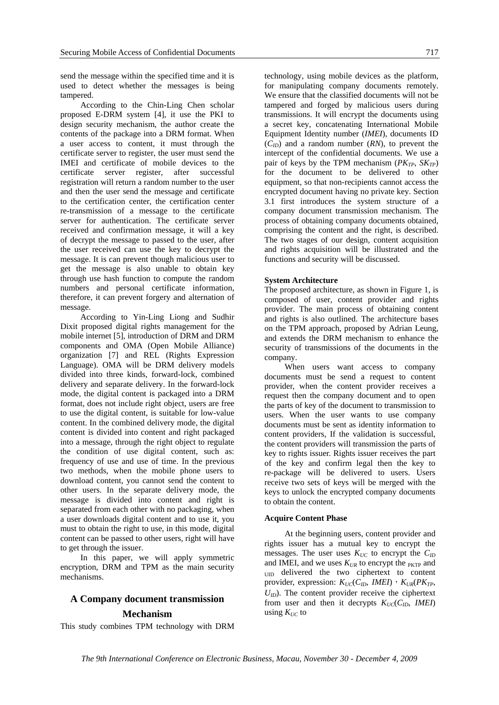send the message within the specified time and it is used to detect whether the messages is being tampered.

According to the Chin-Ling Chen scholar proposed E-DRM system [4], it use the PKI to design security mechanism, the author create the contents of the package into a DRM format. When a user access to content, it must through the certificate server to register, the user must send the IMEI and certificate of mobile devices to the certificate server register, after successful registration will return a random number to the user and then the user send the message and certificate to the certification center, the certification center re-transmission of a message to the certificate server for authentication. The certificate server received and confirmation message, it will a key of decrypt the message to passed to the user, after the user received can use the key to decrypt the message. It is can prevent though malicious user to get the message is also unable to obtain key through use hash function to compute the random numbers and personal certificate information, therefore, it can prevent forgery and alternation of message.

According to Yin-Ling Liong and Sudhir Dixit proposed digital rights management for the mobile internet [5], introduction of DRM and DRM components and OMA (Open Mobile Alliance) organization [7] and REL (Rights Expression Language). OMA will be DRM delivery models divided into three kinds, forward-lock, combined delivery and separate delivery. In the forward-lock mode, the digital content is packaged into a DRM format, does not include right object, users are free to use the digital content, is suitable for low-value content. In the combined delivery mode, the digital content is divided into content and right packaged into a message, through the right object to regulate the condition of use digital content, such as: frequency of use and use of time. In the previous two methods, when the mobile phone users to download content, you cannot send the content to other users. In the separate delivery mode, the message is divided into content and right is separated from each other with no packaging, when a user downloads digital content and to use it, you must to obtain the right to use, in this mode, digital content can be passed to other users, right will have to get through the issuer.

In this paper, we will apply symmetric encryption, DRM and TPM as the main security mechanisms.

# **A Company document transmission**

#### **Mechanism**

This study combines TPM technology with DRM

technology, using mobile devices as the platform, for manipulating company documents remotely. We ensure that the classified documents will not be tampered and forged by malicious users during transmissions. It will encrypt the documents using a secret key, concatenating International Mobile Equipment Identity number (*IMEI*), documents ID  $(C<sub>ID</sub>)$  and a random number  $(RN)$ , to prevent the intercept of the confidential documents. We use a pair of keys by the TPM mechanism  $(PK_{TP}, SK_{TP})$ for the document to be delivered to other equipment, so that non-recipients cannot access the encrypted document having no private key. Section 3.1 first introduces the system structure of a company document transmission mechanism. The process of obtaining company documents obtained, comprising the content and the right, is described. The two stages of our design, content acquisition and rights acquisition will be illustrated and the functions and security will be discussed.

#### **System Architecture**

The proposed architecture, as shown in Figure 1, is composed of user, content provider and rights provider. The main process of obtaining content and rights is also outlined. The architecture bases on the TPM approach, proposed by Adrian Leung, and extends the DRM mechanism to enhance the security of transmissions of the documents in the company.

When users want access to company documents must be send a request to content provider, when the content provider receives a request then the company document and to open the parts of key of the document to transmission to users. When the user wants to use company documents must be sent as identity information to content providers, If the validation is successful, the content providers will transmission the parts of key to rights issuer. Rights issuer receives the part of the key and confirm legal then the key to re-package will be delivered to users. Users receive two sets of keys will be merged with the keys to unlock the encrypted company documents to obtain the content.

#### **Acquire Content Phase**

At the beginning users, content provider and rights issuer has a mutual key to encrypt the messages. The user uses  $K_{UC}$  to encrypt the  $C_{ID}$ and IMEI, and we uses  $K_{UR}$  to encrypt the  $_{\text{PKTP}}$  and UID delivered the two ciphertext to content provider, expression:  $K_{UC}(C_{ID}, IMEI)$ ,  $K_{UR}(PK_{TP},$  $U_{ID}$ ). The content provider receive the ciphertext from user and then it decrypts  $K_{UC}(C_{ID}, \text{ IMEI})$ using  $K_{UC}$  to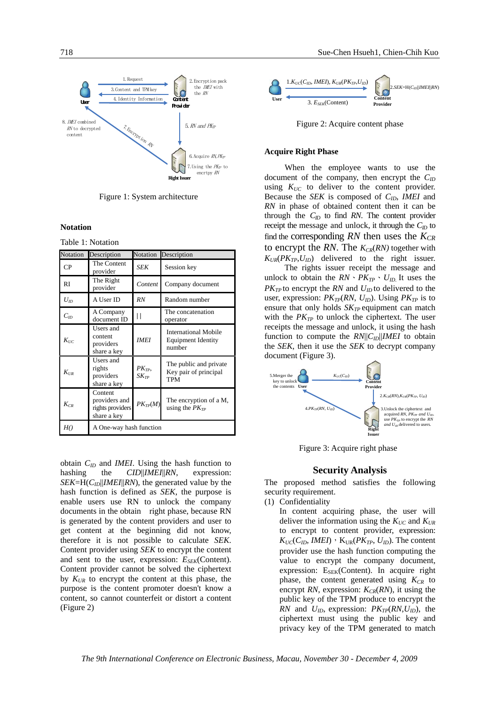

Figure 1: System architecture

**Notation** 

Table 1: Notation

| Notation        | Description                                                 | Notation                              | Description                                                        |
|-----------------|-------------------------------------------------------------|---------------------------------------|--------------------------------------------------------------------|
| CP              | The Content<br>provider                                     | <b>SEK</b>                            | Session key                                                        |
| <b>RI</b>       | The Right<br>provider                                       | Content                               | Company document                                                   |
| $U_{\text{ID}}$ | A User ID                                                   | <b>RN</b>                             | Random number                                                      |
| $C_{ID}$        | A Company<br>document ID                                    |                                       | The concatenation<br>operator                                      |
| $K_{UC}$        | Users and<br>content<br>providers<br>share a key            | <b>IMEI</b>                           | <b>International Mobile</b><br><b>Equipment Identity</b><br>number |
| $K_{\text{UR}}$ | Users and<br>rights<br>providers<br>share a key             | $PK_{TP}$<br>$\delta K_{\mathit{TP}}$ | The public and private<br>Key pair of principal<br>TPM             |
| $K_{CR}$        | Content<br>providers and<br>rights providers<br>share a key | $PK_{TP}(M)$                          | The encryption of a M,<br>using the $PK_{TP}$                      |
| H()             | A One-way hash function                                     |                                       |                                                                    |

obtain  $C_{ID}$  and *IMEI*. Using the hash function to hashing the *CID*||*IMEI*||*RN*, expression: *SEK*=H( $C_{ID}$ ||*IMEI*||*RN*), the generated value by the hash function is defined as *SEK*, the purpose is enable users use RN to unlock the company documents in the obtain right phase, because RN is generated by the content providers and user to get content at the beginning did not know, therefore it is not possible to calculate *SEK*. Content provider using *SEK* to encrypt the content and sent to the user, expression:  $E_{SEK}$ (Content). Content provider cannot be solved the ciphertext by  $K_{UR}$  to encrypt the content at this phase, the purpose is the content promoter doesn't know a content, so cannot counterfeit or distort a content (Figure 2)



Figure 2: Acquire content phase

#### **Acquire Right Phase**

When the employee wants to use the document of the company, then encrypt the *CID* using  $K_{UC}$  to deliver to the content provider. Because the *SEK* is composed of *CID*, *IMEI* and *RN* in phase of obtained content then it can be through the  $C_{ID}$  to find RN. The content provider receipt the message and unlock, it through the  $C_{ID}$  to find the corresponding  $RN$  then uses the  $K_{CR}$ to encrypt the RN. The  $K_{CR}(RN)$  together with  $K_{UR}(PK_{TP}, U_{ID})$  delivered to the right issuer.

 The rights issuer receipt the message and unlock to obtain the  $RN \cdot PK_{TP} \cdot U_{ID}$  It uses the  $PK_{TP}$  to encrypt the *RN* and  $U_{ID}$  to delivered to the user, expression:  $PK_{TP}(RN, U_{ID})$ . Using  $PK_{TP}$  is to ensure that only holds  $SK_{TP}$  equipment can match with the  $PK_{TP}$  to unlock the ciphertext. The user receipts the message and unlock, it using the hash function to compute the  $RN||C_{ID}||MEI$  to obtain the *SEK*, then it use the *SEK* to decrypt company document (Figure 3).



Figure 3: Acquire right phase

#### **Security Analysis**

The proposed method satisfies the following security requirement.

(1) Confidentiality

In content acquiring phase, the user will deliver the information using the  $K_{UC}$  and  $K_{UR}$ to encrypt to content provider, expression:  $K_{UC}(C_{ID}, IMEI)$ ,  $K_{UR}(PK_{TP}, U_{ID})$ . The content provider use the hash function computing the value to encrypt the company document, expression:  $E_{SEK}$ (Content). In acquire right phase, the content generated using  $K_{CR}$  to encrypt *RN*, expression:  $K_{CR}(RN)$ , it using the public key of the TPM produce to encrypt the *RN* and  $U_{ID}$ , expression:  $PK_{TP}(RN, U_{ID})$ , the ciphertext must using the public key and privacy key of the TPM generated to match